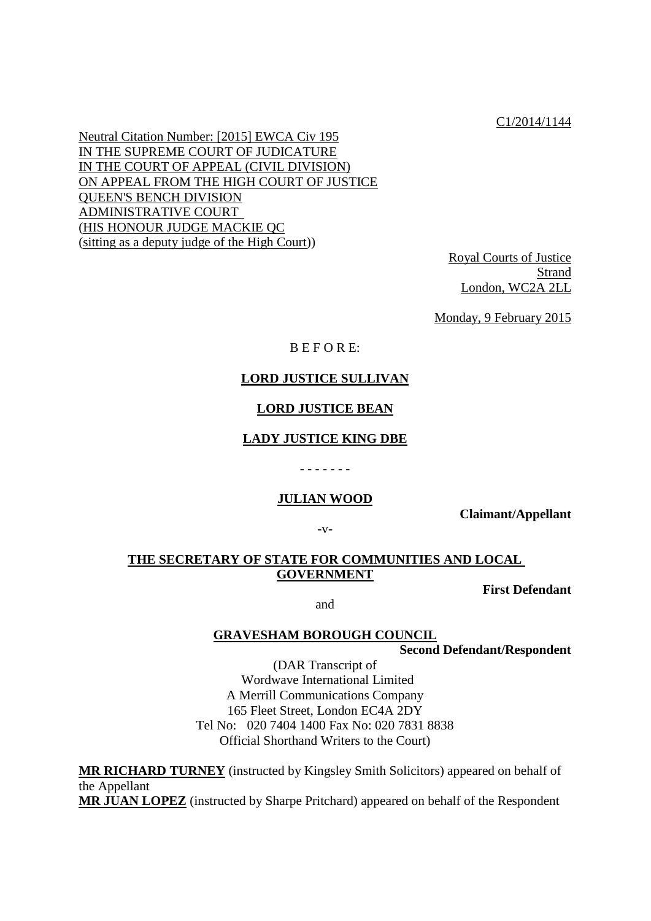C1/2014/1144

Neutral Citation Number: [2015] EWCA Civ 195 IN THE SUPREME COURT OF JUDICATURE IN THE COURT OF APPEAL (CIVIL DIVISION) ON APPEAL FROM THE HIGH COURT OF JUSTICE QUEEN'S BENCH DIVISION ADMINISTRATIVE COURT (HIS HONOUR JUDGE MACKIE QC (sitting as a deputy judge of the High Court))

Royal Courts of Justice Strand London, WC2A 2LL

Monday, 9 February 2015

# B E F O R E:

# **LORD JUSTICE SULLIVAN**

#### **LORD JUSTICE BEAN**

#### **LADY JUSTICE KING DBE**

#### - - - - - - -

#### **JULIAN WOOD**

**Claimant/Appellant**

-v-

# **THE SECRETARY OF STATE FOR COMMUNITIES AND LOCAL GOVERNMENT**

**First Defendant** 

and

#### **GRAVESHAM BOROUGH COUNCIL**

**Second Defendant/Respondent**

(DAR Transcript of Wordwave International Limited A Merrill Communications Company 165 Fleet Street, London EC4A 2DY Tel No: 020 7404 1400 Fax No: 020 7831 8838 Official Shorthand Writers to the Court)

**MR RICHARD TURNEY** (instructed by Kingsley Smith Solicitors) appeared on behalf of the Appellant **MR JUAN LOPEZ** (instructed by Sharpe Pritchard) appeared on behalf of the Respondent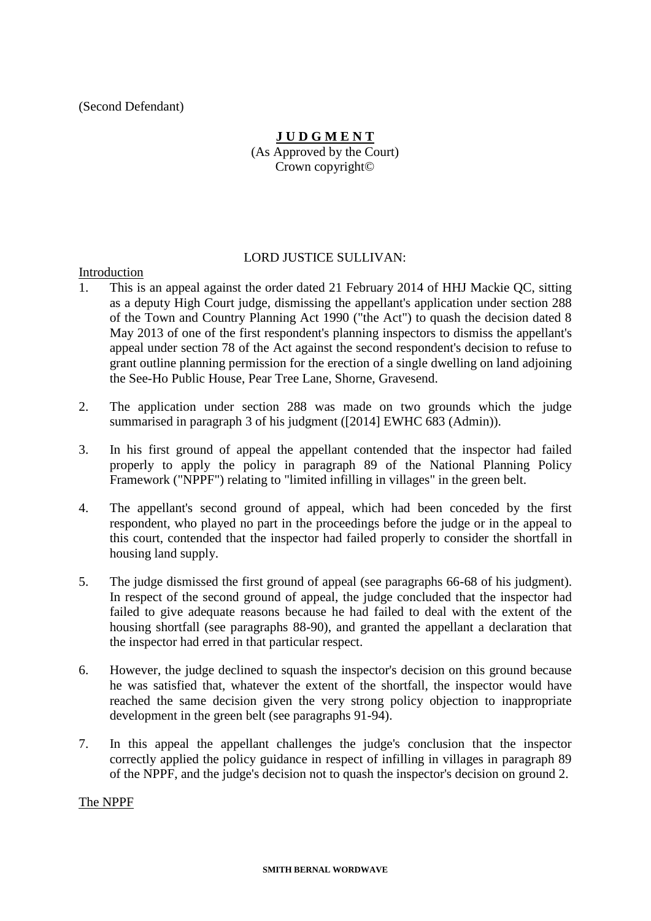# **J U D G M E N T**

(As Approved by the Court) Crown copyright©

# LORD JUSTICE SULLIVAN:

Introduction

- 1. This is an appeal against the order dated 21 February 2014 of HHJ Mackie QC, sitting as a deputy High Court judge, dismissing the appellant's application under section 288 of the Town and Country Planning Act 1990 ("the Act") to quash the decision dated 8 May 2013 of one of the first respondent's planning inspectors to dismiss the appellant's appeal under section 78 of the Act against the second respondent's decision to refuse to grant outline planning permission for the erection of a single dwelling on land adjoining the See-Ho Public House, Pear Tree Lane, Shorne, Gravesend.
- 2. The application under section 288 was made on two grounds which the judge summarised in paragraph 3 of his judgment ([2014] EWHC 683 (Admin)).
- 3. In his first ground of appeal the appellant contended that the inspector had failed properly to apply the policy in paragraph 89 of the National Planning Policy Framework ("NPPF") relating to "limited infilling in villages" in the green belt.
- 4. The appellant's second ground of appeal, which had been conceded by the first respondent, who played no part in the proceedings before the judge or in the appeal to this court, contended that the inspector had failed properly to consider the shortfall in housing land supply.
- 5. The judge dismissed the first ground of appeal (see paragraphs 66-68 of his judgment). In respect of the second ground of appeal, the judge concluded that the inspector had failed to give adequate reasons because he had failed to deal with the extent of the housing shortfall (see paragraphs 88-90), and granted the appellant a declaration that the inspector had erred in that particular respect.
- 6. However, the judge declined to squash the inspector's decision on this ground because he was satisfied that, whatever the extent of the shortfall, the inspector would have reached the same decision given the very strong policy objection to inappropriate development in the green belt (see paragraphs 91-94).
- 7. In this appeal the appellant challenges the judge's conclusion that the inspector correctly applied the policy guidance in respect of infilling in villages in paragraph 89 of the NPPF, and the judge's decision not to quash the inspector's decision on ground 2.

The NPPF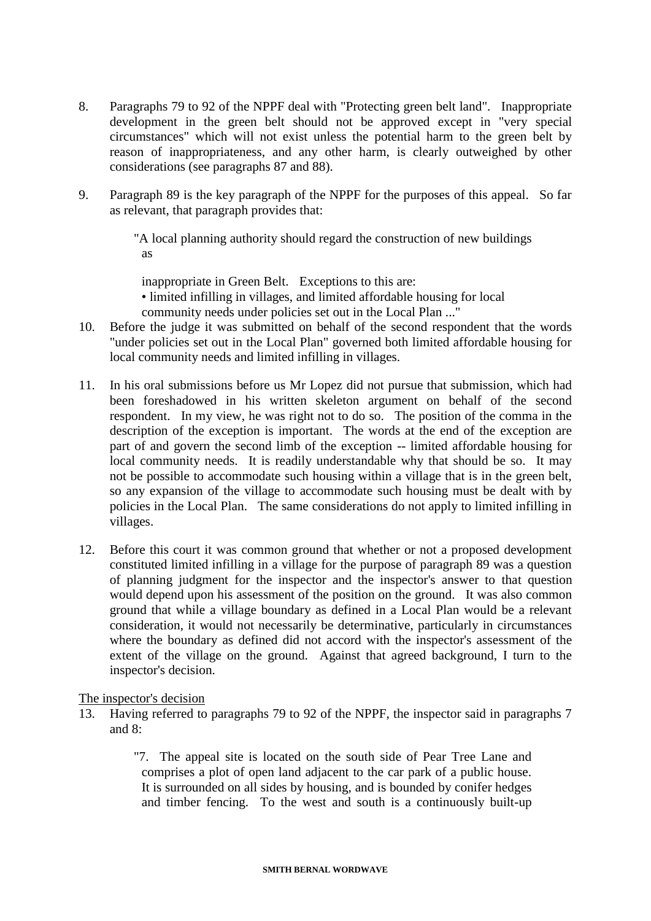- 8. Paragraphs 79 to 92 of the NPPF deal with "Protecting green belt land". Inappropriate development in the green belt should not be approved except in "very special circumstances" which will not exist unless the potential harm to the green belt by reason of inappropriateness, and any other harm, is clearly outweighed by other considerations (see paragraphs 87 and 88).
- 9. Paragraph 89 is the key paragraph of the NPPF for the purposes of this appeal. So far as relevant, that paragraph provides that:

"A local planning authority should regard the construction of new buildings as

inappropriate in Green Belt. Exceptions to this are:

- limited infilling in villages, and limited affordable housing for local community needs under policies set out in the Local Plan ..."
- 10. Before the judge it was submitted on behalf of the second respondent that the words "under policies set out in the Local Plan" governed both limited affordable housing for local community needs and limited infilling in villages.
- 11. In his oral submissions before us Mr Lopez did not pursue that submission, which had been foreshadowed in his written skeleton argument on behalf of the second respondent. In my view, he was right not to do so. The position of the comma in the description of the exception is important. The words at the end of the exception are part of and govern the second limb of the exception -- limited affordable housing for local community needs. It is readily understandable why that should be so. It may not be possible to accommodate such housing within a village that is in the green belt, so any expansion of the village to accommodate such housing must be dealt with by policies in the Local Plan. The same considerations do not apply to limited infilling in villages.
- 12. Before this court it was common ground that whether or not a proposed development constituted limited infilling in a village for the purpose of paragraph 89 was a question of planning judgment for the inspector and the inspector's answer to that question would depend upon his assessment of the position on the ground. It was also common ground that while a village boundary as defined in a Local Plan would be a relevant consideration, it would not necessarily be determinative, particularly in circumstances where the boundary as defined did not accord with the inspector's assessment of the extent of the village on the ground. Against that agreed background, I turn to the inspector's decision.

The inspector's decision

13. Having referred to paragraphs 79 to 92 of the NPPF, the inspector said in paragraphs 7 and 8:

> "7. The appeal site is located on the south side of Pear Tree Lane and comprises a plot of open land adjacent to the car park of a public house. It is surrounded on all sides by housing, and is bounded by conifer hedges and timber fencing. To the west and south is a continuously built-up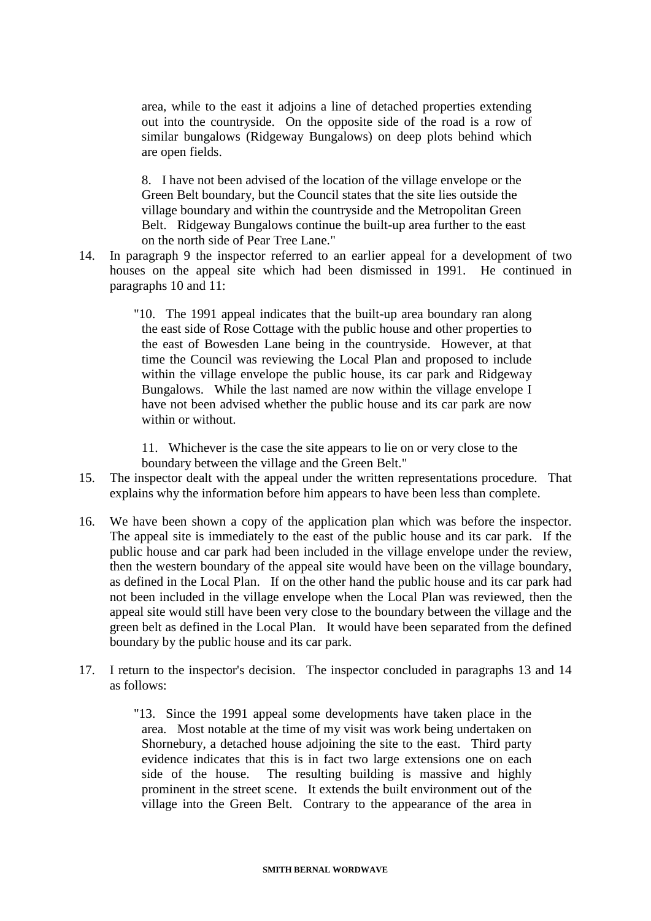area, while to the east it adjoins a line of detached properties extending out into the countryside. On the opposite side of the road is a row of similar bungalows (Ridgeway Bungalows) on deep plots behind which are open fields.

8. I have not been advised of the location of the village envelope or the Green Belt boundary, but the Council states that the site lies outside the village boundary and within the countryside and the Metropolitan Green Belt. Ridgeway Bungalows continue the built-up area further to the east on the north side of Pear Tree Lane."

- 14. In paragraph 9 the inspector referred to an earlier appeal for a development of two houses on the appeal site which had been dismissed in 1991. He continued in paragraphs 10 and 11:
	- "10. The 1991 appeal indicates that the built-up area boundary ran along the east side of Rose Cottage with the public house and other properties to the east of Bowesden Lane being in the countryside. However, at that time the Council was reviewing the Local Plan and proposed to include within the village envelope the public house, its car park and Ridgeway Bungalows. While the last named are now within the village envelope I have not been advised whether the public house and its car park are now within or without.

11. Whichever is the case the site appears to lie on or very close to the boundary between the village and the Green Belt."

- 15. The inspector dealt with the appeal under the written representations procedure. That explains why the information before him appears to have been less than complete.
- 16. We have been shown a copy of the application plan which was before the inspector. The appeal site is immediately to the east of the public house and its car park. If the public house and car park had been included in the village envelope under the review, then the western boundary of the appeal site would have been on the village boundary, as defined in the Local Plan. If on the other hand the public house and its car park had not been included in the village envelope when the Local Plan was reviewed, then the appeal site would still have been very close to the boundary between the village and the green belt as defined in the Local Plan. It would have been separated from the defined boundary by the public house and its car park.
- 17. I return to the inspector's decision. The inspector concluded in paragraphs 13 and 14 as follows:

"13. Since the 1991 appeal some developments have taken place in the area. Most notable at the time of my visit was work being undertaken on Shornebury, a detached house adjoining the site to the east. Third party evidence indicates that this is in fact two large extensions one on each side of the house. The resulting building is massive and highly prominent in the street scene. It extends the built environment out of the village into the Green Belt. Contrary to the appearance of the area in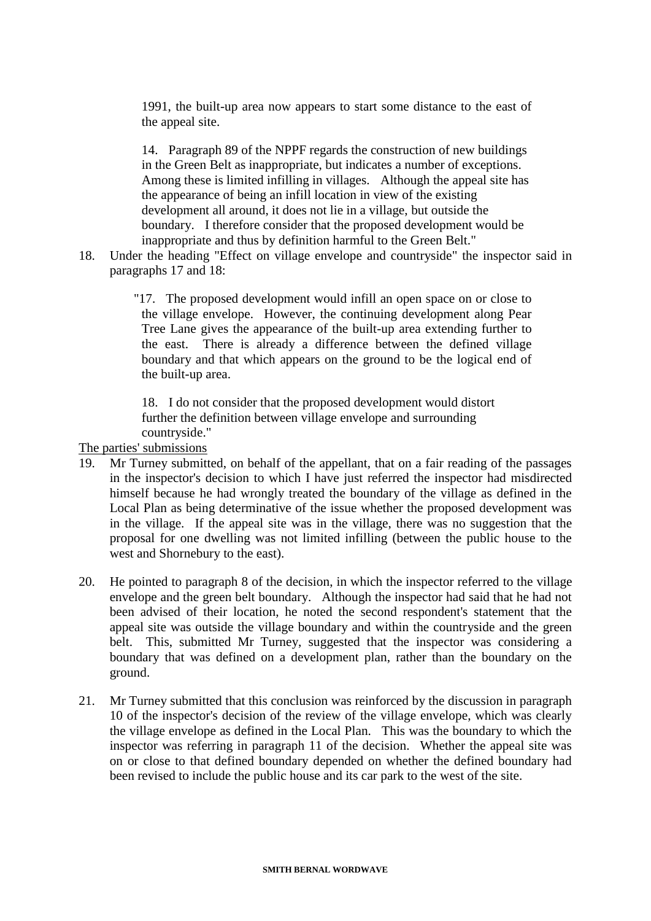1991, the built-up area now appears to start some distance to the east of the appeal site.

14. Paragraph 89 of the NPPF regards the construction of new buildings in the Green Belt as inappropriate, but indicates a number of exceptions. Among these is limited infilling in villages. Although the appeal site has the appearance of being an infill location in view of the existing development all around, it does not lie in a village, but outside the boundary. I therefore consider that the proposed development would be inappropriate and thus by definition harmful to the Green Belt."

18. Under the heading "Effect on village envelope and countryside" the inspector said in paragraphs 17 and 18:

> "17. The proposed development would infill an open space on or close to the village envelope. However, the continuing development along Pear Tree Lane gives the appearance of the built-up area extending further to the east. There is already a difference between the defined village boundary and that which appears on the ground to be the logical end of the built-up area.

18. I do not consider that the proposed development would distort further the definition between village envelope and surrounding countryside."

The parties' submissions

- 19. Mr Turney submitted, on behalf of the appellant, that on a fair reading of the passages in the inspector's decision to which I have just referred the inspector had misdirected himself because he had wrongly treated the boundary of the village as defined in the Local Plan as being determinative of the issue whether the proposed development was in the village. If the appeal site was in the village, there was no suggestion that the proposal for one dwelling was not limited infilling (between the public house to the west and Shornebury to the east).
- 20. He pointed to paragraph 8 of the decision, in which the inspector referred to the village envelope and the green belt boundary. Although the inspector had said that he had not been advised of their location, he noted the second respondent's statement that the appeal site was outside the village boundary and within the countryside and the green belt. This, submitted Mr Turney, suggested that the inspector was considering a boundary that was defined on a development plan, rather than the boundary on the ground.
- 21. Mr Turney submitted that this conclusion was reinforced by the discussion in paragraph 10 of the inspector's decision of the review of the village envelope, which was clearly the village envelope as defined in the Local Plan. This was the boundary to which the inspector was referring in paragraph 11 of the decision. Whether the appeal site was on or close to that defined boundary depended on whether the defined boundary had been revised to include the public house and its car park to the west of the site.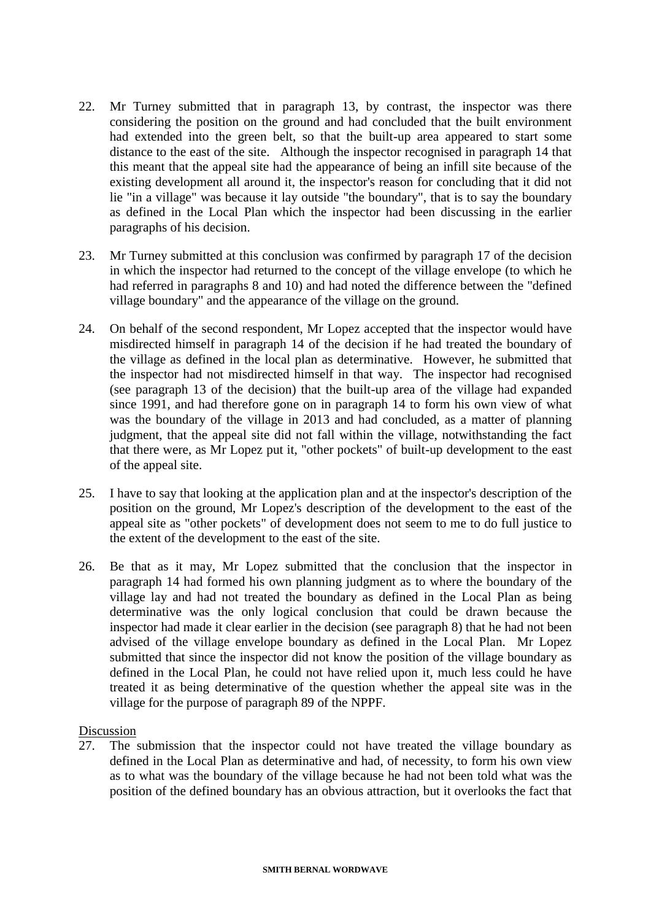- 22. Mr Turney submitted that in paragraph 13, by contrast, the inspector was there considering the position on the ground and had concluded that the built environment had extended into the green belt, so that the built-up area appeared to start some distance to the east of the site. Although the inspector recognised in paragraph 14 that this meant that the appeal site had the appearance of being an infill site because of the existing development all around it, the inspector's reason for concluding that it did not lie "in a village" was because it lay outside "the boundary", that is to say the boundary as defined in the Local Plan which the inspector had been discussing in the earlier paragraphs of his decision.
- 23. Mr Turney submitted at this conclusion was confirmed by paragraph 17 of the decision in which the inspector had returned to the concept of the village envelope (to which he had referred in paragraphs 8 and 10) and had noted the difference between the "defined village boundary" and the appearance of the village on the ground.
- 24. On behalf of the second respondent, Mr Lopez accepted that the inspector would have misdirected himself in paragraph 14 of the decision if he had treated the boundary of the village as defined in the local plan as determinative. However, he submitted that the inspector had not misdirected himself in that way. The inspector had recognised (see paragraph 13 of the decision) that the built-up area of the village had expanded since 1991, and had therefore gone on in paragraph 14 to form his own view of what was the boundary of the village in 2013 and had concluded, as a matter of planning judgment, that the appeal site did not fall within the village, notwithstanding the fact that there were, as Mr Lopez put it, "other pockets" of built-up development to the east of the appeal site.
- 25. I have to say that looking at the application plan and at the inspector's description of the position on the ground, Mr Lopez's description of the development to the east of the appeal site as "other pockets" of development does not seem to me to do full justice to the extent of the development to the east of the site.
- 26. Be that as it may, Mr Lopez submitted that the conclusion that the inspector in paragraph 14 had formed his own planning judgment as to where the boundary of the village lay and had not treated the boundary as defined in the Local Plan as being determinative was the only logical conclusion that could be drawn because the inspector had made it clear earlier in the decision (see paragraph 8) that he had not been advised of the village envelope boundary as defined in the Local Plan. Mr Lopez submitted that since the inspector did not know the position of the village boundary as defined in the Local Plan, he could not have relied upon it, much less could he have treated it as being determinative of the question whether the appeal site was in the village for the purpose of paragraph 89 of the NPPF.

# Discussion

27. The submission that the inspector could not have treated the village boundary as defined in the Local Plan as determinative and had, of necessity, to form his own view as to what was the boundary of the village because he had not been told what was the position of the defined boundary has an obvious attraction, but it overlooks the fact that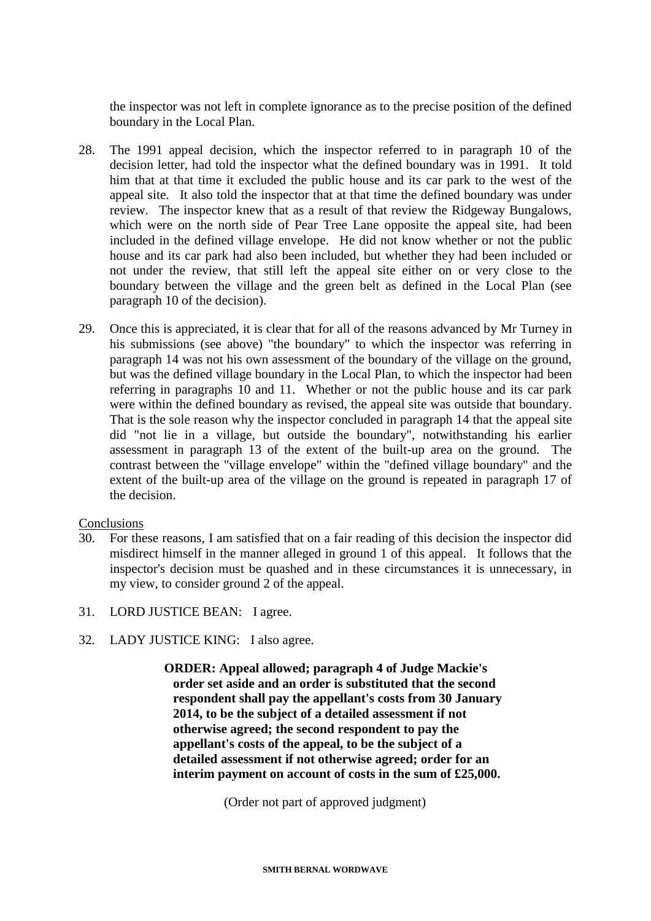the inspector was not left in complete ignorance as to the precise position of the defined boundary in the Local Plan.

- 28. The 1991 appeal decision, which the inspector referred to in paragraph 10 of the decision letter, had told the inspector what the defined boundary was in 1991. It told him that at that time it excluded the public house and its car park to the west of the appeal site. It also told the inspector that at that time the defined boundary was under review. The inspector knew that as a result of that review the Ridgeway Bungalows, which were on the north side of Pear Tree Lane opposite the appeal site, had been included in the defined village envelope. He did not know whether or not the public house and its car park had also been included, but whether they had been included or not under the review, that still left the appeal site either on or very close to the boundary between the village and the green belt as defined in the Local Plan (see paragraph 10 of the decision).
- 29. Once this is appreciated, it is clear that for all of the reasons advanced by Mr Turney in his submissions (see above) "the boundary" to which the inspector was referring in paragraph 14 was not his own assessment of the boundary of the village on the ground, but was the defined village boundary in the Local Plan, to which the inspector had been referring in paragraphs 10 and 11. Whether or not the public house and its car park were within the defined boundary as revised, the appeal site was outside that boundary. That is the sole reason why the inspector concluded in paragraph 14 that the appeal site did "not lie in a village, but outside the boundary", notwithstanding his earlier assessment in paragraph 13 of the extent of the built-up area on the ground. The contrast between the "village envelope" within the "defined village boundary" and the extent of the built-up area of the village on the ground is repeated in paragraph 17 of the decision.

### Conclusions

- 30. For these reasons, I am satisfied that on a fair reading of this decision the inspector did misdirect himself in the manner alleged in ground 1 of this appeal. It follows that the inspector's decision must be quashed and in these circumstances it is unnecessary, in my view, to consider ground 2 of the appeal.
- 31. LORD JUSTICE BEAN: I agree.
- 32. LADY JUSTICE KING: I also agree.

 **ORDER: Appeal allowed; paragraph 4 of Judge Mackie's order set aside and an order is substituted that the second respondent shall pay the appellant's costs from 30 January 2014, to be the subject of a detailed assessment if not otherwise agreed; the second respondent to pay the appellant's costs of the appeal, to be the subject of a detailed assessment if not otherwise agreed; order for an interim payment on account of costs in the sum of £25,000.**

(Order not part of approved judgment)